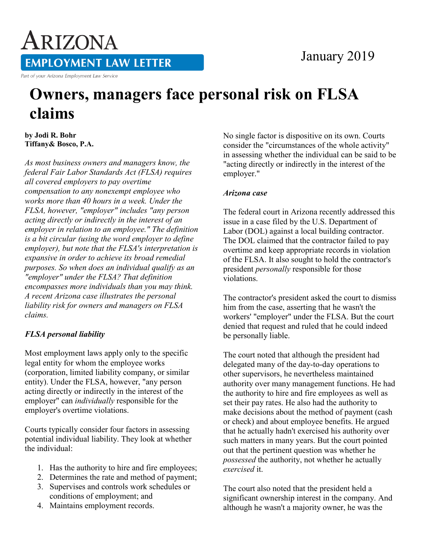# January 2019

ARIZONA **EMPLOYMENT LAW LETTER** 

Part of your Arizona Employment Law Service

# **Owners, managers face personal risk on FLSA claims**

**by Jodi R. Bohr Tiffany& Bosco, P.A.** 

*As most business owners and managers know, the federal Fair Labor Standards Act (FLSA) requires all covered employers to pay overtime compensation to any nonexempt employee who works more than 40 hours in a week. Under the FLSA, however, "employer" includes "any person acting directly or indirectly in the interest of an employer in relation to an employee." The definition is a bit circular (using the word employer to define employer), but note that the FLSA's interpretation is expansive in order to achieve its broad remedial purposes. So when does an individual qualify as an "employer" under the FLSA? That definition encompasses more individuals than you may think. A recent Arizona case illustrates the personal liability risk for owners and managers on FLSA claims.*

## *FLSA personal liability*

Most employment laws apply only to the specific legal entity for whom the employee works (corporation, limited liability company, or similar entity). Under the FLSA, however, "any person acting directly or indirectly in the interest of the employer" can *individually* responsible for the employer's overtime violations.

Courts typically consider four factors in assessing potential individual liability. They look at whether the individual:

- 1. Has the authority to hire and fire employees;
- 2. Determines the rate and method of payment;
- 3. Supervises and controls work schedules or conditions of employment; and
- 4. Maintains employment records.

No single factor is dispositive on its own. Courts consider the "circumstances of the whole activity" in assessing whether the individual can be said to be "acting directly or indirectly in the interest of the employer."

### *Arizona case*

The federal court in Arizona recently addressed this issue in a case filed by the U.S. Department of Labor (DOL) against a local building contractor. The DOL claimed that the contractor failed to pay overtime and keep appropriate records in violation of the FLSA. It also sought to hold the contractor's president *personally* responsible for those violations.

The contractor's president asked the court to dismiss him from the case, asserting that he wasn't the workers' "employer" under the FLSA. But the court denied that request and ruled that he could indeed be personally liable.

The court noted that although the president had delegated many of the day-to-day operations to other supervisors, he nevertheless maintained authority over many management functions. He had the authority to hire and fire employees as well as set their pay rates. He also had the authority to make decisions about the method of payment (cash or check) and about employee benefits. He argued that he actually hadn't exercised his authority over such matters in many years. But the court pointed out that the pertinent question was whether he *possessed* the authority, not whether he actually *exercised* it.

The court also noted that the president held a significant ownership interest in the company. And although he wasn't a majority owner, he was the